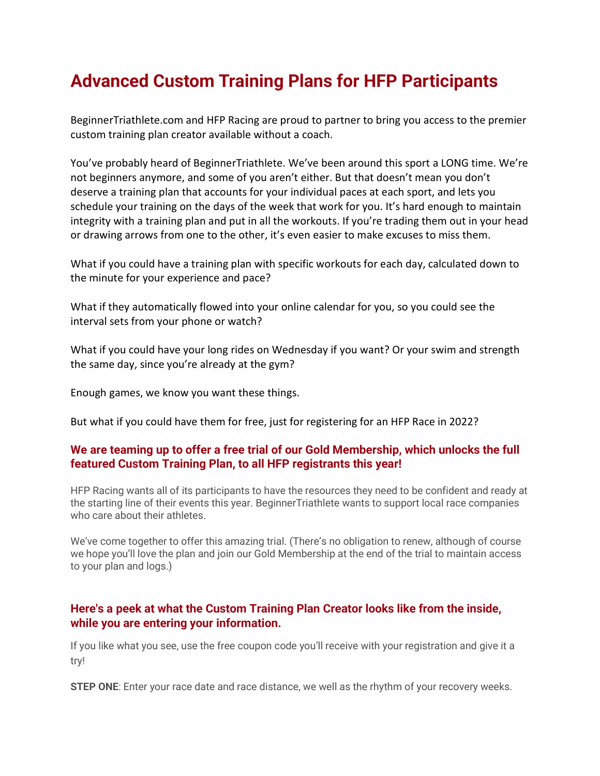## Advanced Custom Training Plans for HFP Participants

BeginnerTriathlete.com and HFP Racing are proud to partner to bring you access to the premier custom training plan creator available without a coach.

You've probably heard of BeginnerTriathlete. We've been around this sport a LONG time. We're not beginners anymore, and some of you aren't either. But that doesn't mean you don't deserve a training plan that accounts for your individual paces at each sport, and lets you schedule your training on the days of the week that work for you. It's hard enough to maintain integrity with a training plan and put in all the workouts. If you're trading them out in your head or drawing arrows from one to the other, it's even easier to make excuses to miss them.

What if you could have a training plan with specific workouts for each day, calculated down to the minute for your experience and pace?

What if they automatically flowed into your online calendar for you, so you could see the interval sets from your phone or watch?

What if you could have your long rides on Wednesday if you want? Or your swim and strength the same day, since you're already at the gym?

Enough games, we know you want these things.

But what if you could have them for free, just for registering for an HFP Race in 2022?

## We are teaming up to offer a free trial of our Gold Membership, which unlocks the full featured Custom Training Plan, to all HFP registrants this year!

HFP Racing wants all of its participants to have the resources they need to be confident and ready at the starting line of their events this year. BeginnerTriathlete wants to support local race companies who care about their athletes

We've come together to offer this amazing trial. (There's no obligation to renew, although of course we hope you'll love the plan and join our Gold Membership at the end of the trial to maintain access to your plan and logs.)

## Here's a peek at what the Custom Training Plan Creator looks like from the inside, while you are entering your information.

If you like what you see, use the free coupon code you'll receive with your registration and give it a try!

**STEP ONE:** Enter your race date and race distance, we well as the rhythm of your recovery weeks.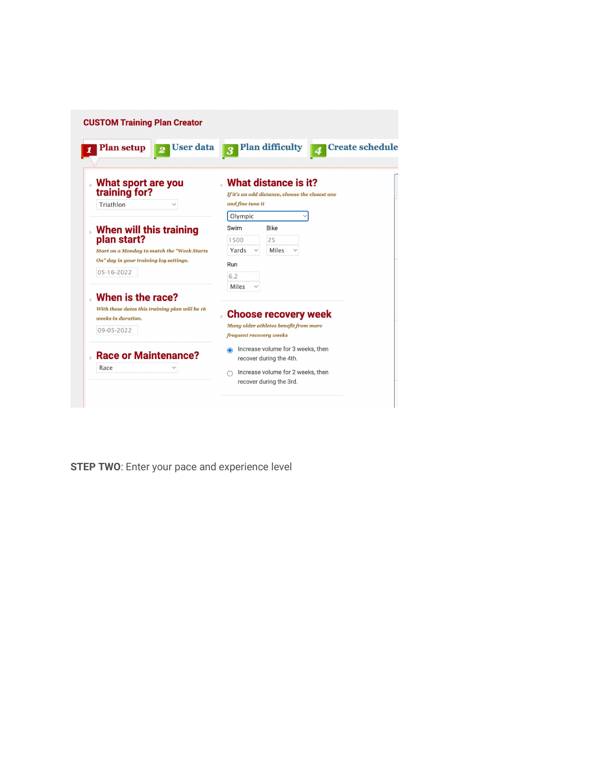

**STEP TWO:** Enter your pace and experience level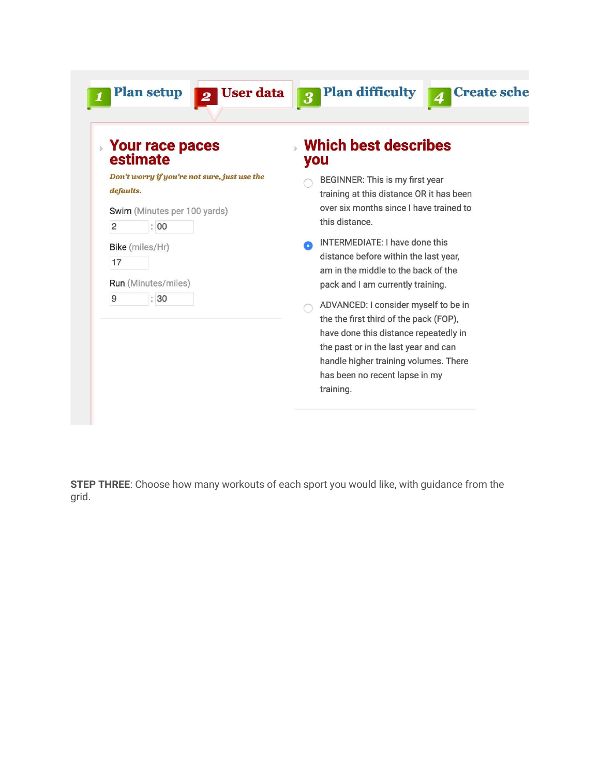| <b>Your race paces</b><br>estimate                                                        | <b>Which best describes</b><br>you                                                                                                                                                                                                                      |
|-------------------------------------------------------------------------------------------|---------------------------------------------------------------------------------------------------------------------------------------------------------------------------------------------------------------------------------------------------------|
| Don't worry if you're not sure, just use the<br>defaults.<br>Swim (Minutes per 100 yards) | BEGINNER: This is my first year<br>training at this distance OR it has been<br>over six months since I have trained to<br>this distance.                                                                                                                |
| $\overline{c}$<br>: 00<br>Bike (miles/Hr)<br>17<br>Run (Minutes/miles)                    | INTERMEDIATE: I have done this<br>distance before within the last year,<br>am in the middle to the back of the<br>pack and I am currently training.                                                                                                     |
| 9<br>:30                                                                                  | ADVANCED: I consider myself to be in<br>the the first third of the pack (FOP),<br>have done this distance repeatedly in<br>the past or in the last year and can<br>handle higher training volumes. There<br>has been no recent lapse in my<br>training. |

STEP THREE: Choose how many workouts of each sport you would like, with guidance from the grid.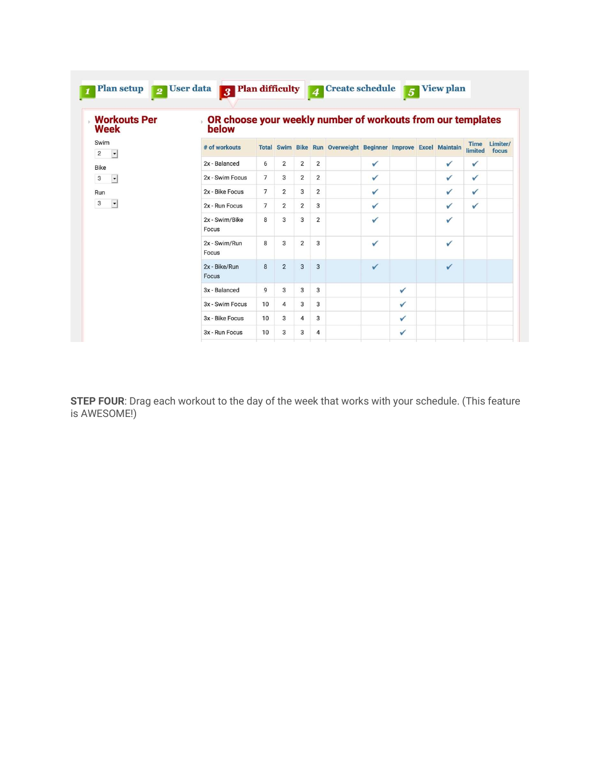| <b>Workouts Per</b>                                |                                                                            |                |                |                |                |                                                                |   |   |  |   |                        |                   |  |
|----------------------------------------------------|----------------------------------------------------------------------------|----------------|----------------|----------------|----------------|----------------------------------------------------------------|---|---|--|---|------------------------|-------------------|--|
| Week                                               | OR choose your weekly number of workouts from our templates<br>k.<br>below |                |                |                |                |                                                                |   |   |  |   |                        |                   |  |
| Swim<br>$\overline{\phantom{a}}$<br>$\overline{c}$ | # of workouts                                                              |                |                |                |                | Total Swim Bike Run Overweight Beginner Improve Excel Maintain |   |   |  |   | <b>Time</b><br>limited | Limiter/<br>focus |  |
| <b>Bike</b>                                        | 2x - Balanced                                                              | 6              | 2              | $\overline{2}$ | $\overline{2}$ |                                                                | ✓ |   |  | ✓ | ✓                      |                   |  |
| $\overline{\phantom{a}}$<br>3                      | 2x - Swim Focus                                                            | $\overline{7}$ | 3              | 2              | $\overline{2}$ |                                                                | ✓ |   |  | ✓ | ✓                      |                   |  |
| Run                                                | 2x - Bike Focus                                                            | $\overline{7}$ | $\overline{2}$ | 3              | 2              |                                                                | ✓ |   |  | ✓ | ✓                      |                   |  |
| 3<br>$\overline{ }$                                | 2x - Run Focus                                                             | $\overline{7}$ | 2              | 2              | 3              |                                                                | ✓ |   |  | ✓ | ✓                      |                   |  |
|                                                    | 2x - Swim/Bike<br>Focus                                                    | 8              | 3              | 3              | 2              |                                                                | ✓ |   |  | ✓ |                        |                   |  |
|                                                    | 2x - Swim/Run<br>Focus                                                     | 8              | 3              | $\overline{2}$ | 3              |                                                                | ✓ |   |  | ✓ |                        |                   |  |
|                                                    | 2x - Bike/Run<br>Focus                                                     | 8              | $\overline{2}$ | 3              | 3              |                                                                | ✓ |   |  | ✓ |                        |                   |  |
|                                                    | 3x - Balanced                                                              | 9              | 3              | 3              | 3              |                                                                |   | ✓ |  |   |                        |                   |  |
|                                                    | 3x - Swim Focus                                                            | 10             | 4              | 3              | 3              |                                                                |   | ✓ |  |   |                        |                   |  |
|                                                    | 3x - Bike Focus                                                            | 10             | 3              | 4              | 3              |                                                                |   | ✓ |  |   |                        |                   |  |
|                                                    | 3x - Run Focus                                                             | 10             | 3              | 3              | 4              |                                                                |   | ✓ |  |   |                        |                   |  |

STEP FOUR: Drag each workout to the day of the week that works with your schedule. (This feature is AWESOME!)